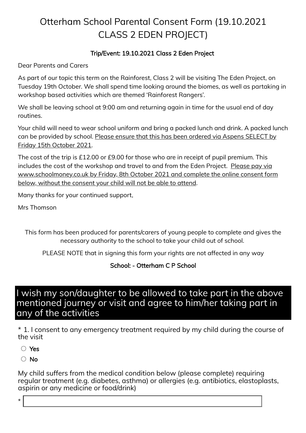## Otterham School Parental Consent Form (19.10.2021 CLASS 2 EDEN PROJECT)

## Trip/Event: 19.10.2021 Class 2 Eden Project

Dear Parents and Carers

As part of our topic this term on the Rainforest, Class 2 will be visiting The Eden Project, on Tuesday 19th October. We shall spend time looking around the biomes, as well as partaking in workshop based activities which are themed 'Rainforest Rangers'.

We shall be leaving school at 9:00 am and returning again in time for the usual end of day routines.

Your child will need to wear school uniform and bring a packed lunch and drink. A packed lunch can be provided by school. Please ensure that this has been ordered via Aspens SELECT by Friday 15th October 2021.

The cost of the trip is £12.00 or £9.00 for those who are in receipt of pupil premium. This includes the cost of the workshop and travel to and from the Eden Project. Please pay via www.schoolmoney.co.uk by Friday, 8th October 2021 and complete the online consent form below, without the consent your child will not be able to attend.

Many thanks for your continued support,

Mrs Thomson

This form has been produced for parents/carers of young people to complete and gives the necessary authority to the school to take your child out of school.

PLEASE NOTE that in signing this form your rights are not affected in any way

School: - Otterham C P School

## I wish my son/daughter to be allowed to take part in the above mentioned journey or visit and agree to him/her taking part in any of the activities

\* 1. I consent to any emergency treatment required by my child during the course of the visit

Yes

○ No

My child suffers from the medical condition below (please complete) requiring regular treatment (e.g. diabetes, asthma) or allergies (e.g. antibiotics, elastoplasts, aspirin or any medicine or food/drink)

\*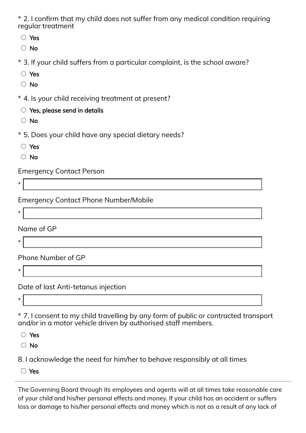\* 2. I confirm that my child does not suffer from any medical condition requiring regular treatment

- Yes
- No
- \* 3. If your child suffers from a particular complaint, is the school aware?
- Yes
- No
- \* 4. Is your child receiving treatment at present?
	- $\circlearrowright$  Yes, please send in details
	- No
- \* 5. Does your child have any special dietary needs?
	- Yes
- No

Emergency Contact Person

Emergency Contact Phone Number/Mobile

\*

\*

Name of GP

\*

Phone Number of GP

\*

Date of last Anti-tetanus injection

\*

\* 7. I consent to my child travelling by any form of public or contracted transport and/or in a motor vehicle driven by authorised staff members.

Yes

○ No

8. I acknowledge the need for him/her to behave responsibly at all times

Yes

The Governing Board through its employees and agents will at all times take reasonable care of your child and his/her personal effects and money. If your child has an accident or suffers loss or damage to his/her personal effects and money which is not as a result of any lack of